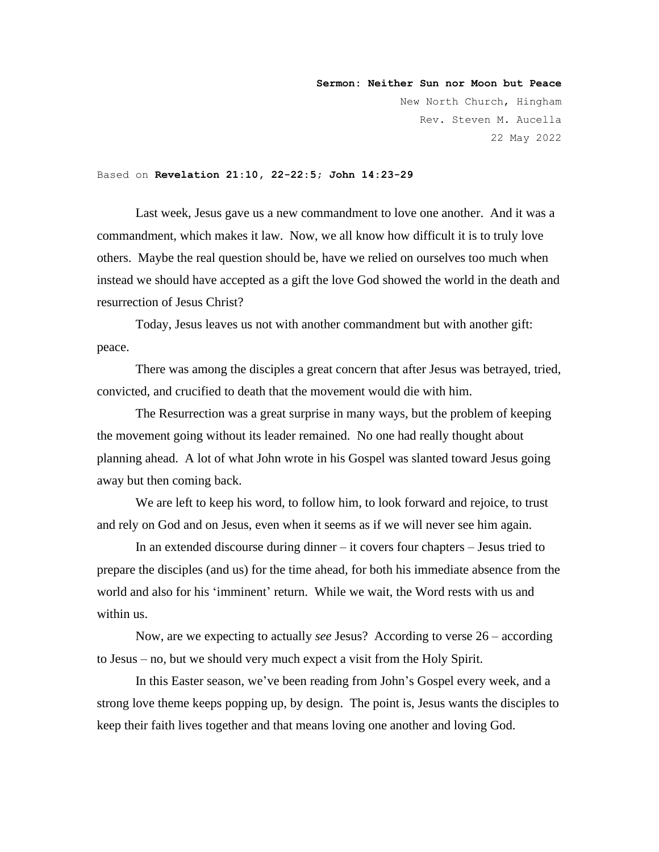**Sermon: Neither Sun nor Moon but Peace** New North Church, Hingham Rev. Steven M. Aucella 22 May 2022

Based on **Revelation 21:10, 22-22:5; John 14:23-29**

Last week, Jesus gave us a new commandment to love one another. And it was a commandment, which makes it law. Now, we all know how difficult it is to truly love others. Maybe the real question should be, have we relied on ourselves too much when instead we should have accepted as a gift the love God showed the world in the death and resurrection of Jesus Christ?

Today, Jesus leaves us not with another commandment but with another gift: peace.

There was among the disciples a great concern that after Jesus was betrayed, tried, convicted, and crucified to death that the movement would die with him.

The Resurrection was a great surprise in many ways, but the problem of keeping the movement going without its leader remained. No one had really thought about planning ahead. A lot of what John wrote in his Gospel was slanted toward Jesus going away but then coming back.

We are left to keep his word, to follow him, to look forward and rejoice, to trust and rely on God and on Jesus, even when it seems as if we will never see him again.

In an extended discourse during dinner – it covers four chapters – Jesus tried to prepare the disciples (and us) for the time ahead, for both his immediate absence from the world and also for his 'imminent' return. While we wait, the Word rests with us and within us.

Now, are we expecting to actually *see* Jesus? According to verse 26 – according to Jesus – no, but we should very much expect a visit from the Holy Spirit.

In this Easter season, we've been reading from John's Gospel every week, and a strong love theme keeps popping up, by design. The point is, Jesus wants the disciples to keep their faith lives together and that means loving one another and loving God.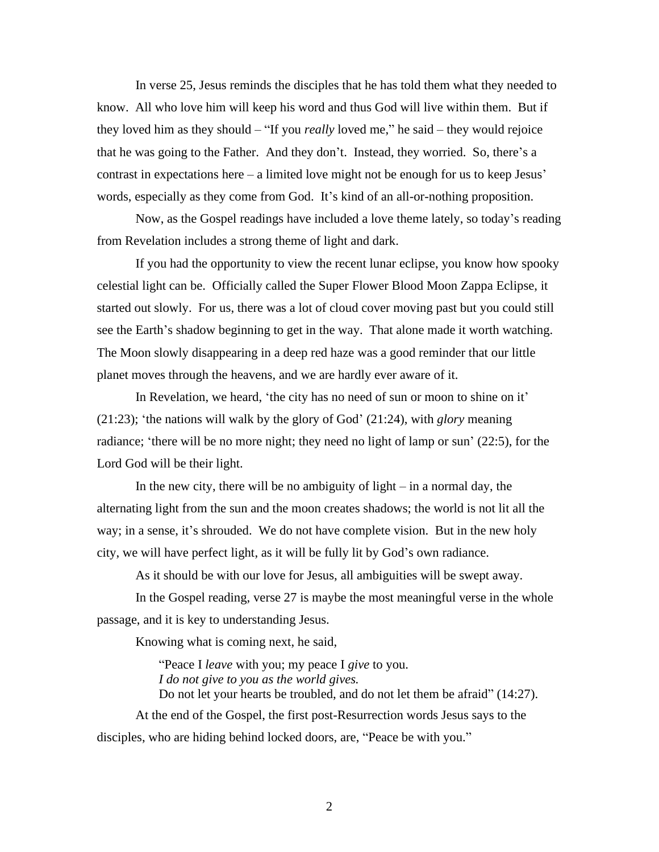In verse 25, Jesus reminds the disciples that he has told them what they needed to know. All who love him will keep his word and thus God will live within them. But if they loved him as they should – "If you *really* loved me," he said – they would rejoice that he was going to the Father. And they don't. Instead, they worried. So, there's a contrast in expectations here – a limited love might not be enough for us to keep Jesus' words, especially as they come from God. It's kind of an all-or-nothing proposition.

Now, as the Gospel readings have included a love theme lately, so today's reading from Revelation includes a strong theme of light and dark.

If you had the opportunity to view the recent lunar eclipse, you know how spooky celestial light can be. Officially called the Super Flower Blood Moon Zappa Eclipse, it started out slowly. For us, there was a lot of cloud cover moving past but you could still see the Earth's shadow beginning to get in the way. That alone made it worth watching. The Moon slowly disappearing in a deep red haze was a good reminder that our little planet moves through the heavens, and we are hardly ever aware of it.

In Revelation, we heard, 'the city has no need of sun or moon to shine on it' (21:23); 'the nations will walk by the glory of God' (21:24), with *glory* meaning radiance; 'there will be no more night; they need no light of lamp or sun' (22:5), for the Lord God will be their light.

In the new city, there will be no ambiguity of light  $-$  in a normal day, the alternating light from the sun and the moon creates shadows; the world is not lit all the way; in a sense, it's shrouded. We do not have complete vision. But in the new holy city, we will have perfect light, as it will be fully lit by God's own radiance.

As it should be with our love for Jesus, all ambiguities will be swept away.

In the Gospel reading, verse 27 is maybe the most meaningful verse in the whole passage, and it is key to understanding Jesus.

Knowing what is coming next, he said,

"Peace I *leave* with you; my peace I *give* to you. *I do not give to you as the world gives.*  Do not let your hearts be troubled, and do not let them be afraid" (14:27).

At the end of the Gospel, the first post-Resurrection words Jesus says to the disciples, who are hiding behind locked doors, are, "Peace be with you."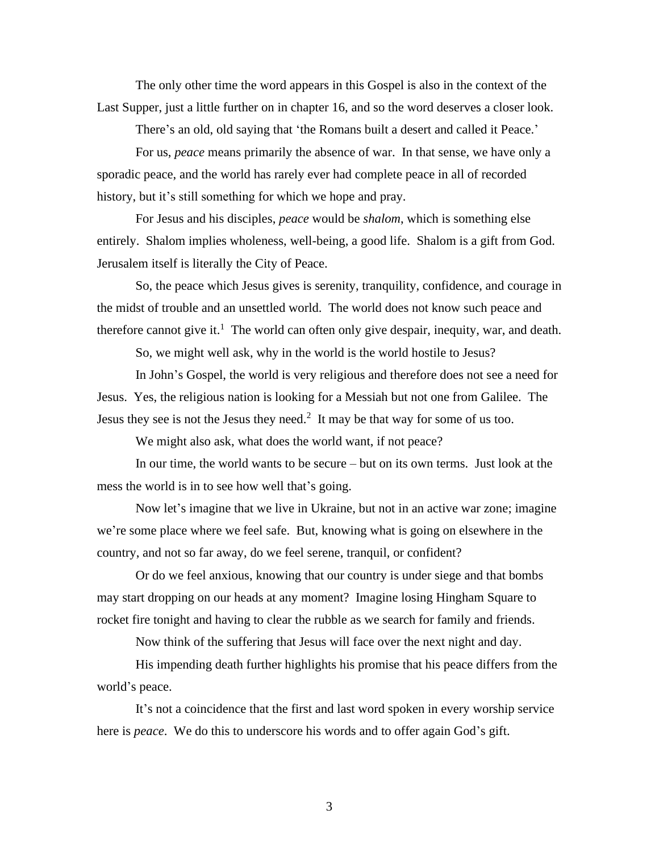The only other time the word appears in this Gospel is also in the context of the Last Supper, just a little further on in chapter 16, and so the word deserves a closer look.

There's an old, old saying that 'the Romans built a desert and called it Peace.'

For us, *peace* means primarily the absence of war. In that sense, we have only a sporadic peace, and the world has rarely ever had complete peace in all of recorded history, but it's still something for which we hope and pray.

For Jesus and his disciples, *peace* would be *shalom*, which is something else entirely. Shalom implies wholeness, well-being, a good life. Shalom is a gift from God. Jerusalem itself is literally the City of Peace.

So, the peace which Jesus gives is serenity, tranquility, confidence, and courage in the midst of trouble and an unsettled world. The world does not know such peace and therefore cannot give it.<sup>1</sup> The world can often only give despair, inequity, war, and death.

So, we might well ask, why in the world is the world hostile to Jesus?

In John's Gospel, the world is very religious and therefore does not see a need for Jesus. Yes, the religious nation is looking for a Messiah but not one from Galilee. The Jesus they see is not the Jesus they need.<sup>2</sup> It may be that way for some of us too.

We might also ask, what does the world want, if not peace?

In our time, the world wants to be secure – but on its own terms. Just look at the mess the world is in to see how well that's going.

Now let's imagine that we live in Ukraine, but not in an active war zone; imagine we're some place where we feel safe. But, knowing what is going on elsewhere in the country, and not so far away, do we feel serene, tranquil, or confident?

Or do we feel anxious, knowing that our country is under siege and that bombs may start dropping on our heads at any moment? Imagine losing Hingham Square to rocket fire tonight and having to clear the rubble as we search for family and friends.

Now think of the suffering that Jesus will face over the next night and day.

His impending death further highlights his promise that his peace differs from the world's peace.

It's not a coincidence that the first and last word spoken in every worship service here is *peace*. We do this to underscore his words and to offer again God's gift.

3